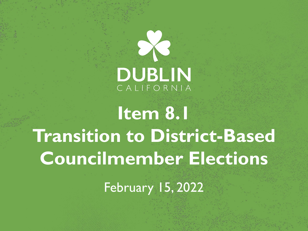# **DUBLIN**

**Item 8.1 Transition to District-Based Councilmember Elections**

February 15, 2022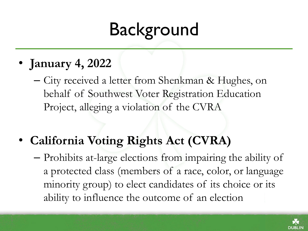## Background

- **January 4, 2022**
	- City received a letter from Shenkman & Hughes, on behalf of Southwest Voter Registration Education Project, alleging a violation of the CVRA
- **California Voting Rights Act (CVRA)** 
	- Prohibits at-large elections from impairing the ability of a protected class (members of a race, color, or language minority group) to elect candidates of its choice or its ability to influence the outcome of an election

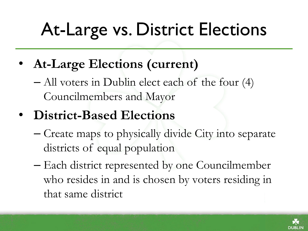## At-Large vs. District Elections

• **At-Large Elections (current)**

– All voters in Dublin elect each of the four (4) Councilmembers and Mayor

- **District-Based Elections** 
	- Create maps to physically divide City into separate districts of equal population
	- Each district represented by one Councilmember who resides in and is chosen by voters residing in that same district

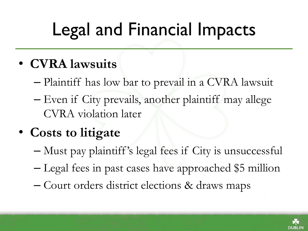# Legal and Financial Impacts

- **CVRA lawsuits**
	- Plaintiff has low bar to prevail in a CVRA lawsuit
	- Even if City prevails, another plaintiff may allege CVRA violation later
- **Costs to litigate**
	- Must pay plaintiff 's legal fees if City is unsuccessful
	- Legal fees in past cases have approached \$5 million
	- Court orders district elections & draws maps

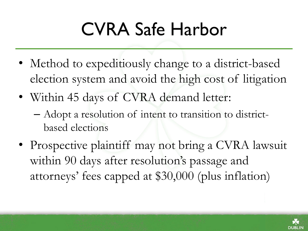## CVRA Safe Harbor

- Method to expeditiously change to a district-based election system and avoid the high cost of litigation
- Within 45 days of CVRA demand letter:
	- Adopt a resolution of intent to transition to districtbased elections
- Prospective plaintiff may not bring a CVRA lawsuit within 90 days after resolution's passage and attorneys' fees capped at \$30,000 (plus inflation)

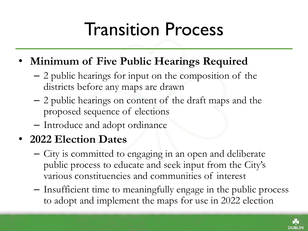#### Transition Process

- **Minimum of Five Public Hearings Required**
	- 2 public hearings for input on the composition of the districts before any maps are drawn
	- 2 public hearings on content of the draft maps and the proposed sequence of elections
	- Introduce and adopt ordinance

#### • **2022 Election Dates**

- City is committed to engaging in an open and deliberate public process to educate and seek input from the City's various constituencies and communities of interest
- Insufficient time to meaningfully engage in the public process to adopt and implement the maps for use in 2022 election

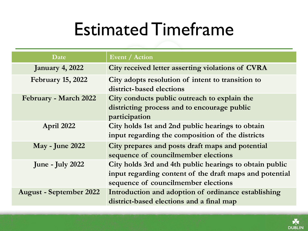#### Estimated Timeframe

| Date                           | <b>Event</b> / Action                                                                                                                                     |
|--------------------------------|-----------------------------------------------------------------------------------------------------------------------------------------------------------|
| <b>January 4, 2022</b>         | City received letter asserting violations of CVRA                                                                                                         |
| <b>February 15, 2022</b>       | City adopts resolution of intent to transition to<br>district-based elections                                                                             |
| February - March 2022          | City conducts public outreach to explain the<br>districting process and to encourage public<br>participation                                              |
| April 2022                     | City holds 1st and 2nd public hearings to obtain<br>input regarding the composition of the districts                                                      |
| <b>May - June 2022</b>         | City prepares and posts draft maps and potential<br>sequence of councilmember elections                                                                   |
| June - July 2022               | City holds 3rd and 4th public hearings to obtain public<br>input regarding content of the draft maps and potential<br>sequence of councilmember elections |
| <b>August - September 2022</b> | Introduction and adoption of ordinance establishing<br>district-based elections and a final map                                                           |